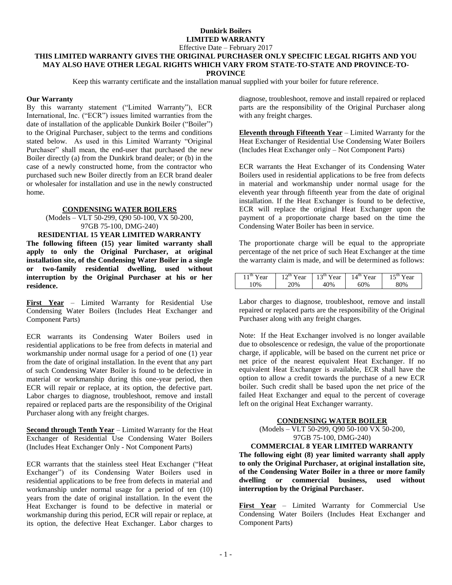Effective Date – February 2017

#### **THIS LIMITED WARRANTY GIVES THE ORIGINAL PURCHASER ONLY SPECIFIC LEGAL RIGHTS AND YOU MAY ALSO HAVE OTHER LEGAL RIGHTS WHICH VARY FROM STATE-TO-STATE AND PROVINCE-TO-PROVINCE**

Keep this warranty certificate and the installation manual supplied with your boiler for future reference.

### **Our Warranty**

By this warranty statement ("Limited Warranty"), ECR International, Inc. ("ECR") issues limited warranties from the date of installation of the applicable Dunkirk Boiler ("Boiler") to the Original Purchaser, subject to the terms and conditions stated below. As used in this Limited Warranty "Original Purchaser" shall mean, the end-user that purchased the new Boiler directly (a) from the Dunkirk brand dealer; or (b) in the case of a newly constructed home, from the contractor who purchased such new Boiler directly from an ECR brand dealer or wholesaler for installation and use in the newly constructed home.

## **CONDENSING WATER BOILERS**

(Models – VLT 50-299, Q90 50-100, VX 50-200, 97GB 75-100, DMG-240)

### **RESIDENTIAL 15 YEAR LIMITED WARRANTY**

**The following fifteen (15) year limited warranty shall apply to only the Original Purchaser, at original installation site, of the Condensing Water Boiler in a single or two-family residential dwelling, used without interruption by the Original Purchaser at his or her residence.**

**First Year** – Limited Warranty for Residential Use Condensing Water Boilers (Includes Heat Exchanger and Component Parts)

ECR warrants its Condensing Water Boilers used in residential applications to be free from defects in material and workmanship under normal usage for a period of one (1) year from the date of original installation. In the event that any part of such Condensing Water Boiler is found to be defective in material or workmanship during this one-year period, then ECR will repair or replace, at its option, the defective part. Labor charges to diagnose, troubleshoot, remove and install repaired or replaced parts are the responsibility of the Original Purchaser along with any freight charges.

**Second through Tenth Year** – Limited Warranty for the Heat Exchanger of Residential Use Condensing Water Boilers (Includes Heat Exchanger Only - Not Component Parts)

ECR warrants that the stainless steel Heat Exchanger ("Heat Exchanger") of its Condensing Water Boilers used in residential applications to be free from defects in material and workmanship under normal usage for a period of ten (10) years from the date of original installation. In the event the Heat Exchanger is found to be defective in material or workmanship during this period, ECR will repair or replace, at its option, the defective Heat Exchanger. Labor charges to diagnose, troubleshoot, remove and install repaired or replaced parts are the responsibility of the Original Purchaser along with any freight charges.

**Eleventh through Fifteenth Year** – Limited Warranty for the Heat Exchanger of Residential Use Condensing Water Boilers (Includes Heat Exchanger only – Not Component Parts)

ECR warrants the Heat Exchanger of its Condensing Water Boilers used in residential applications to be free from defects in material and workmanship under normal usage for the eleventh year through fifteenth year from the date of original installation. If the Heat Exchanger is found to be defective, ECR will replace the original Heat Exchanger upon the payment of a proportionate charge based on the time the Condensing Water Boiler has been in service.

The proportionate charge will be equal to the appropriate percentage of the net price of such Heat Exchanger at the time the warranty claim is made, and will be determined as follows:

| $11th$ Year | $12th$ Year | $13th$ Year | $14th$ Year | $1 \leq th$<br>ear |
|-------------|-------------|-------------|-------------|--------------------|
| 10%         | 20%         | 40%         | 60%         | 80%                |

Labor charges to diagnose, troubleshoot, remove and install repaired or replaced parts are the responsibility of the Original Purchaser along with any freight charges.

Note: If the Heat Exchanger involved is no longer available due to obsolescence or redesign, the value of the proportionate charge, if applicable, will be based on the current net price or net price of the nearest equivalent Heat Exchanger. If no equivalent Heat Exchanger is available, ECR shall have the option to allow a credit towards the purchase of a new ECR boiler. Such credit shall be based upon the net price of the failed Heat Exchanger and equal to the percent of coverage left on the original Heat Exchanger warranty.

## **CONDENSING WATER BOILER**

(Models – VLT 50-299, Q90 50-100 VX 50-200, 97GB 75-100, DMG-240)

#### **COMMERCIAL 8 YEAR LIMITED WARRANTY**

**The following eight (8) year limited warranty shall apply to only the Original Purchaser, at original installation site, of the Condensing Water Boiler in a three or more family dwelling or commercial business, used without interruption by the Original Purchaser.**

**First Year** – Limited Warranty for Commercial Use Condensing Water Boilers (Includes Heat Exchanger and Component Parts)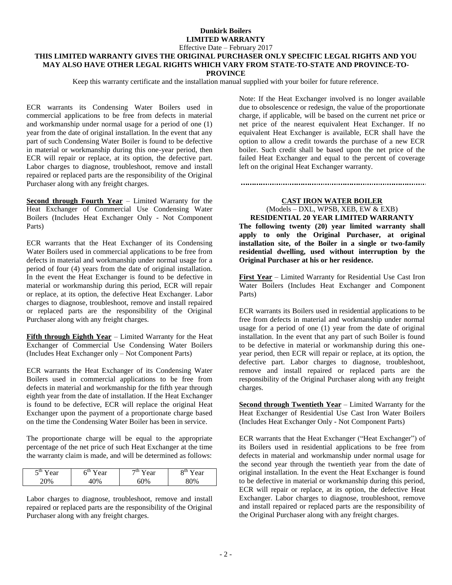Effective Date – February 2017

#### **THIS LIMITED WARRANTY GIVES THE ORIGINAL PURCHASER ONLY SPECIFIC LEGAL RIGHTS AND YOU MAY ALSO HAVE OTHER LEGAL RIGHTS WHICH VARY FROM STATE-TO-STATE AND PROVINCE-TO-PROVINCE**

Keep this warranty certificate and the installation manual supplied with your boiler for future reference.

ECR warrants its Condensing Water Boilers used in commercial applications to be free from defects in material and workmanship under normal usage for a period of one (1) year from the date of original installation. In the event that any part of such Condensing Water Boiler is found to be defective in material or workmanship during this one-year period, then ECR will repair or replace, at its option, the defective part. Labor charges to diagnose, troubleshoot, remove and install repaired or replaced parts are the responsibility of the Original Purchaser along with any freight charges.

**Second through Fourth Year** – Limited Warranty for the Heat Exchanger of Commercial Use Condensing Water Boilers (Includes Heat Exchanger Only - Not Component Parts)

ECR warrants that the Heat Exchanger of its Condensing Water Boilers used in commercial applications to be free from defects in material and workmanship under normal usage for a period of four (4) years from the date of original installation. In the event the Heat Exchanger is found to be defective in material or workmanship during this period, ECR will repair or replace, at its option, the defective Heat Exchanger. Labor charges to diagnose, troubleshoot, remove and install repaired or replaced parts are the responsibility of the Original Purchaser along with any freight charges.

**Fifth through Eighth Year** – Limited Warranty for the Heat Exchanger of Commercial Use Condensing Water Boilers (Includes Heat Exchanger only – Not Component Parts)

ECR warrants the Heat Exchanger of its Condensing Water Boilers used in commercial applications to be free from defects in material and workmanship for the fifth year through eighth year from the date of installation. If the Heat Exchanger is found to be defective, ECR will replace the original Heat Exchanger upon the payment of a proportionate charge based on the time the Condensing Water Boiler has been in service.

The proportionate charge will be equal to the appropriate percentage of the net price of such Heat Exchanger at the time the warranty claim is made, and will be determined as follows:

| $\leq$ <sup>th</sup><br>ear<br>◡ | -m<br>ear<br>U | $\neg$ th<br>ear | oτn<br>ear |
|----------------------------------|----------------|------------------|------------|
| $U_{\alpha}$                     | $\frac{10}{6}$ | $\gamma_{0/2}$   |            |

Labor charges to diagnose, troubleshoot, remove and install repaired or replaced parts are the responsibility of the Original Purchaser along with any freight charges.

Note: If the Heat Exchanger involved is no longer available due to obsolescence or redesign, the value of the proportionate charge, if applicable, will be based on the current net price or net price of the nearest equivalent Heat Exchanger. If no equivalent Heat Exchanger is available, ECR shall have the option to allow a credit towards the purchase of a new ECR boiler. Such credit shall be based upon the net price of the failed Heat Exchanger and equal to the percent of coverage left on the original Heat Exchanger warranty.

# **CAST IRON WATER BOILER** (Models – DXL, WPSB, XEB, EW & EXB)

**RESIDENTIAL 20 YEAR LIMITED WARRANTY The following twenty (20) year limited warranty shall apply to only the Original Purchaser, at original installation site, of the Boiler in a single or two-family residential dwelling, used without interruption by the Original Purchaser at his or her residence.**

**First Year** – Limited Warranty for Residential Use Cast Iron Water Boilers (Includes Heat Exchanger and Component Parts)

ECR warrants its Boilers used in residential applications to be free from defects in material and workmanship under normal usage for a period of one (1) year from the date of original installation. In the event that any part of such Boiler is found to be defective in material or workmanship during this oneyear period, then ECR will repair or replace, at its option, the defective part. Labor charges to diagnose, troubleshoot, remove and install repaired or replaced parts are the responsibility of the Original Purchaser along with any freight charges.

**Second through Twentieth Year** – Limited Warranty for the Heat Exchanger of Residential Use Cast Iron Water Boilers (Includes Heat Exchanger Only - Not Component Parts)

ECR warrants that the Heat Exchanger ("Heat Exchanger") of its Boilers used in residential applications to be free from defects in material and workmanship under normal usage for the second year through the twentieth year from the date of original installation. In the event the Heat Exchanger is found to be defective in material or workmanship during this period, ECR will repair or replace, at its option, the defective Heat Exchanger. Labor charges to diagnose, troubleshoot, remove and install repaired or replaced parts are the responsibility of the Original Purchaser along with any freight charges.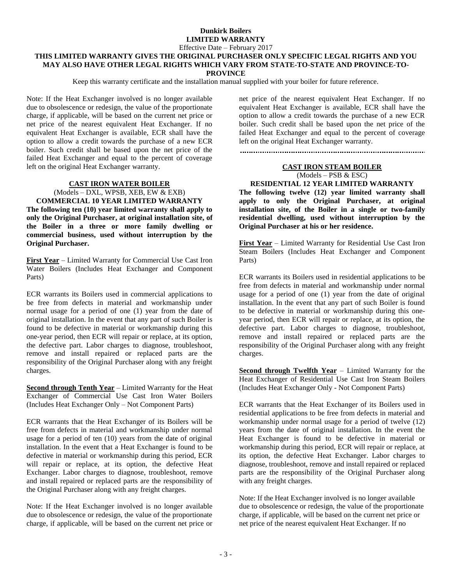Effective Date – February 2017

# **THIS LIMITED WARRANTY GIVES THE ORIGINAL PURCHASER ONLY SPECIFIC LEGAL RIGHTS AND YOU MAY ALSO HAVE OTHER LEGAL RIGHTS WHICH VARY FROM STATE-TO-STATE AND PROVINCE-TO-**

**PROVINCE**

Keep this warranty certificate and the installation manual supplied with your boiler for future reference.

Note: If the Heat Exchanger involved is no longer available due to obsolescence or redesign, the value of the proportionate charge, if applicable, will be based on the current net price or net price of the nearest equivalent Heat Exchanger. If no equivalent Heat Exchanger is available, ECR shall have the option to allow a credit towards the purchase of a new ECR boiler. Such credit shall be based upon the net price of the failed Heat Exchanger and equal to the percent of coverage left on the original Heat Exchanger warranty.

### **CAST IRON WATER BOILER**

(Models – DXL, WPSB, XEB, EW & EXB) **COMMERCIAL 10 YEAR LIMITED WARRANTY The following ten (10) year limited warranty shall apply to only the Original Purchaser, at original installation site, of the Boiler in a three or more family dwelling or commercial business, used without interruption by the Original Purchaser.**

**First Year** – Limited Warranty for Commercial Use Cast Iron Water Boilers (Includes Heat Exchanger and Component Parts)

ECR warrants its Boilers used in commercial applications to be free from defects in material and workmanship under normal usage for a period of one (1) year from the date of original installation. In the event that any part of such Boiler is found to be defective in material or workmanship during this one-year period, then ECR will repair or replace, at its option, the defective part. Labor charges to diagnose, troubleshoot, remove and install repaired or replaced parts are the responsibility of the Original Purchaser along with any freight charges.

**Second through Tenth Year** – Limited Warranty for the Heat Exchanger of Commercial Use Cast Iron Water Boilers (Includes Heat Exchanger Only – Not Component Parts)

ECR warrants that the Heat Exchanger of its Boilers will be free from defects in material and workmanship under normal usage for a period of ten (10) years from the date of original installation. In the event that a Heat Exchanger is found to be defective in material or workmanship during this period, ECR will repair or replace, at its option, the defective Heat Exchanger. Labor charges to diagnose, troubleshoot, remove and install repaired or replaced parts are the responsibility of the Original Purchaser along with any freight charges.

Note: If the Heat Exchanger involved is no longer available due to obsolescence or redesign, the value of the proportionate charge, if applicable, will be based on the current net price or net price of the nearest equivalent Heat Exchanger. If no equivalent Heat Exchanger is available, ECR shall have the option to allow a credit towards the purchase of a new ECR boiler. Such credit shall be based upon the net price of the failed Heat Exchanger and equal to the percent of coverage left on the original Heat Exchanger warranty.

### **CAST IRON STEAM BOILER**

(Models – PSB & ESC)

#### **RESIDENTIAL 12 YEAR LIMITED WARRANTY**

**The following twelve (12) year limited warranty shall apply to only the Original Purchaser, at original installation site, of the Boiler in a single or two-family residential dwelling, used without interruption by the Original Purchaser at his or her residence.**

**First Year** – Limited Warranty for Residential Use Cast Iron Steam Boilers (Includes Heat Exchanger and Component Parts)

ECR warrants its Boilers used in residential applications to be free from defects in material and workmanship under normal usage for a period of one (1) year from the date of original installation. In the event that any part of such Boiler is found to be defective in material or workmanship during this oneyear period, then ECR will repair or replace, at its option, the defective part. Labor charges to diagnose, troubleshoot, remove and install repaired or replaced parts are the responsibility of the Original Purchaser along with any freight charges.

**Second through Twelfth Year** – Limited Warranty for the Heat Exchanger of Residential Use Cast Iron Steam Boilers (Includes Heat Exchanger Only - Not Component Parts)

ECR warrants that the Heat Exchanger of its Boilers used in residential applications to be free from defects in material and workmanship under normal usage for a period of twelve (12) years from the date of original installation. In the event the Heat Exchanger is found to be defective in material or workmanship during this period, ECR will repair or replace, at its option, the defective Heat Exchanger. Labor charges to diagnose, troubleshoot, remove and install repaired or replaced parts are the responsibility of the Original Purchaser along with any freight charges.

Note: If the Heat Exchanger involved is no longer available due to obsolescence or redesign, the value of the proportionate charge, if applicable, will be based on the current net price or net price of the nearest equivalent Heat Exchanger. If no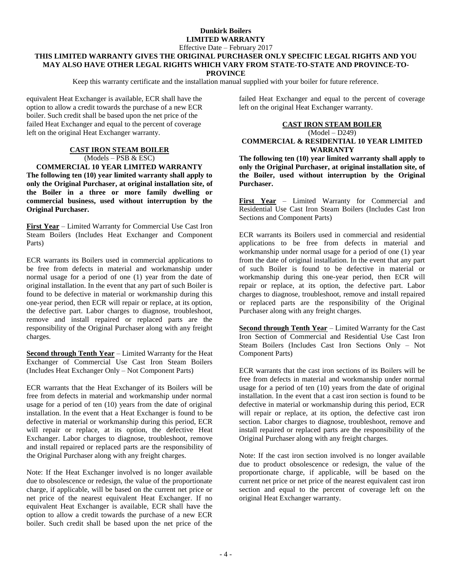Effective Date – February 2017

#### **THIS LIMITED WARRANTY GIVES THE ORIGINAL PURCHASER ONLY SPECIFIC LEGAL RIGHTS AND YOU MAY ALSO HAVE OTHER LEGAL RIGHTS WHICH VARY FROM STATE-TO-STATE AND PROVINCE-TO-PROVINCE**

Keep this warranty certificate and the installation manual supplied with your boiler for future reference.

equivalent Heat Exchanger is available, ECR shall have the option to allow a credit towards the purchase of a new ECR boiler. Such credit shall be based upon the net price of the failed Heat Exchanger and equal to the percent of coverage left on the original Heat Exchanger warranty.

## **CAST IRON STEAM BOILER** (Models – PSB & ESC)

**COMMERCIAL 10 YEAR LIMITED WARRANTY The following ten (10) year limited warranty shall apply to only the Original Purchaser, at original installation site, of the Boiler in a three or more family dwelling or commercial business, used without interruption by the Original Purchaser.**

**First Year** – Limited Warranty for Commercial Use Cast Iron Steam Boilers (Includes Heat Exchanger and Component Parts)

ECR warrants its Boilers used in commercial applications to be free from defects in material and workmanship under normal usage for a period of one (1) year from the date of original installation. In the event that any part of such Boiler is found to be defective in material or workmanship during this one-year period, then ECR will repair or replace, at its option, the defective part. Labor charges to diagnose, troubleshoot, remove and install repaired or replaced parts are the responsibility of the Original Purchaser along with any freight charges.

**Second through Tenth Year** – Limited Warranty for the Heat Exchanger of Commercial Use Cast Iron Steam Boilers (Includes Heat Exchanger Only – Not Component Parts)

ECR warrants that the Heat Exchanger of its Boilers will be free from defects in material and workmanship under normal usage for a period of ten (10) years from the date of original installation. In the event that a Heat Exchanger is found to be defective in material or workmanship during this period, ECR will repair or replace, at its option, the defective Heat Exchanger. Labor charges to diagnose, troubleshoot, remove and install repaired or replaced parts are the responsibility of the Original Purchaser along with any freight charges.

Note: If the Heat Exchanger involved is no longer available due to obsolescence or redesign, the value of the proportionate charge, if applicable, will be based on the current net price or net price of the nearest equivalent Heat Exchanger. If no equivalent Heat Exchanger is available, ECR shall have the option to allow a credit towards the purchase of a new ECR boiler. Such credit shall be based upon the net price of the

failed Heat Exchanger and equal to the percent of coverage left on the original Heat Exchanger warranty.

## **CAST IRON STEAM BOILER**

### (Model – D249) **COMMERCIAL & RESIDENTIAL 10 YEAR LIMITED WARRANTY**

**The following ten (10) year limited warranty shall apply to only the Original Purchaser, at original installation site, of the Boiler, used without interruption by the Original Purchaser.**

**First Year** – Limited Warranty for Commercial and Residential Use Cast Iron Steam Boilers (Includes Cast Iron Sections and Component Parts)

ECR warrants its Boilers used in commercial and residential applications to be free from defects in material and workmanship under normal usage for a period of one (1) year from the date of original installation. In the event that any part of such Boiler is found to be defective in material or workmanship during this one-year period, then ECR will repair or replace, at its option, the defective part. Labor charges to diagnose, troubleshoot, remove and install repaired or replaced parts are the responsibility of the Original Purchaser along with any freight charges.

**Second through Tenth Year** – Limited Warranty for the Cast Iron Section of Commercial and Residential Use Cast Iron Steam Boilers (Includes Cast Iron Sections Only – Not Component Parts)

ECR warrants that the cast iron sections of its Boilers will be free from defects in material and workmanship under normal usage for a period of ten (10) years from the date of original installation. In the event that a cast iron section is found to be defective in material or workmanship during this period, ECR will repair or replace, at its option, the defective cast iron section. Labor charges to diagnose, troubleshoot, remove and install repaired or replaced parts are the responsibility of the Original Purchaser along with any freight charges.

Note: If the cast iron section involved is no longer available due to product obsolescence or redesign, the value of the proportionate charge, if applicable, will be based on the current net price or net price of the nearest equivalent cast iron section and equal to the percent of coverage left on the original Heat Exchanger warranty.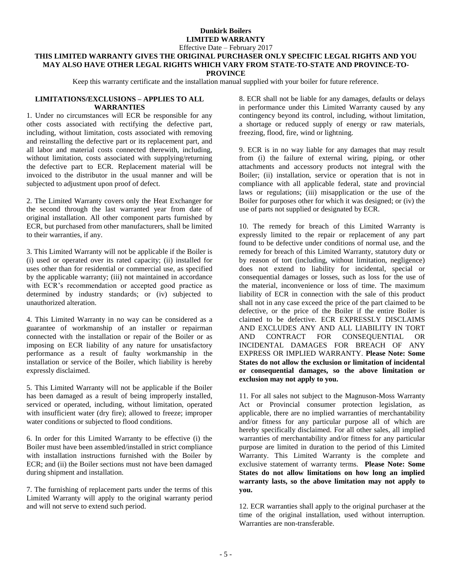Effective Date – February 2017

# **THIS LIMITED WARRANTY GIVES THE ORIGINAL PURCHASER ONLY SPECIFIC LEGAL RIGHTS AND YOU MAY ALSO HAVE OTHER LEGAL RIGHTS WHICH VARY FROM STATE-TO-STATE AND PROVINCE-TO-**

**PROVINCE**

Keep this warranty certificate and the installation manual supplied with your boiler for future reference.

### **LIMITATIONS/EXCLUSIONS – APPLIES TO ALL WARRANTIES**

1. Under no circumstances will ECR be responsible for any other costs associated with rectifying the defective part, including, without limitation, costs associated with removing and reinstalling the defective part or its replacement part, and all labor and material costs connected therewith, including, without limitation, costs associated with supplying/returning the defective part to ECR. Replacement material will be invoiced to the distributor in the usual manner and will be subjected to adjustment upon proof of defect.

2. The Limited Warranty covers only the Heat Exchanger for the second through the last warranted year from date of original installation. All other component parts furnished by ECR, but purchased from other manufacturers, shall be limited to their warranties, if any.

3. This Limited Warranty will not be applicable if the Boiler is (i) used or operated over its rated capacity; (ii) installed for uses other than for residential or commercial use, as specified by the applicable warranty; (iii) not maintained in accordance with ECR's recommendation or accepted good practice as determined by industry standards; or (iv) subjected to unauthorized alteration.

4. This Limited Warranty in no way can be considered as a guarantee of workmanship of an installer or repairman connected with the installation or repair of the Boiler or as imposing on ECR liability of any nature for unsatisfactory performance as a result of faulty workmanship in the installation or service of the Boiler, which liability is hereby expressly disclaimed.

5. This Limited Warranty will not be applicable if the Boiler has been damaged as a result of being improperly installed, serviced or operated, including, without limitation, operated with insufficient water (dry fire); allowed to freeze; improper water conditions or subjected to flood conditions.

6. In order for this Limited Warranty to be effective (i) the Boiler must have been assembled/installed in strict compliance with installation instructions furnished with the Boiler by ECR; and (ii) the Boiler sections must not have been damaged during shipment and installation.

7. The furnishing of replacement parts under the terms of this Limited Warranty will apply to the original warranty period and will not serve to extend such period.

8. ECR shall not be liable for any damages, defaults or delays in performance under this Limited Warranty caused by any contingency beyond its control, including, without limitation, a shortage or reduced supply of energy or raw materials, freezing, flood, fire, wind or lightning.

9. ECR is in no way liable for any damages that may result from (i) the failure of external wiring, piping, or other attachments and accessory products not integral with the Boiler; (ii) installation, service or operation that is not in compliance with all applicable federal, state and provincial laws or regulations; (iii) misapplication or the use of the Boiler for purposes other for which it was designed; or (iv) the use of parts not supplied or designated by ECR.

10. The remedy for breach of this Limited Warranty is expressly limited to the repair or replacement of any part found to be defective under conditions of normal use, and the remedy for breach of this Limited Warranty, statutory duty or by reason of tort (including, without limitation, negligence) does not extend to liability for incidental, special or consequential damages or losses, such as loss for the use of the material, inconvenience or loss of time. The maximum liability of ECR in connection with the sale of this product shall not in any case exceed the price of the part claimed to be defective, or the price of the Boiler if the entire Boiler is claimed to be defective. ECR EXPRESSLY DISCLAIMS AND EXCLUDES ANY AND ALL LIABILITY IN TORT AND CONTRACT FOR CONSEQUENTIAL OR INCIDENTAL DAMAGES FOR BREACH OF ANY EXPRESS OR IMPLIED WARRANTY. **Please Note: Some States do not allow the exclusion or limitation of incidental or consequential damages, so the above limitation or exclusion may not apply to you.**

11. For all sales not subject to the Magnuson-Moss Warranty Act or Provincial consumer protection legislation, as applicable, there are no implied warranties of merchantability and/or fitness for any particular purpose all of which are hereby specifically disclaimed. For all other sales, all implied warranties of merchantability and/or fitness for any particular purpose are limited in duration to the period of this Limited Warranty. This Limited Warranty is the complete and exclusive statement of warranty terms. **Please Note: Some States do not allow limitations on how long an implied warranty lasts, so the above limitation may not apply to you.**

12. ECR warranties shall apply to the original purchaser at the time of the original installation, used without interruption. Warranties are non-transferable.